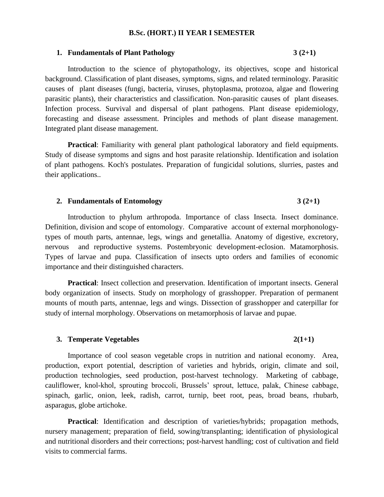## **B.Sc. (HORT.) II YEAR I SEMESTER**

#### **1. Fundamentals of Plant Pathology 3 (2+1)**

# Introduction to the science of phytopathology, its objectives, scope and historical background. Classification of plant diseases, symptoms, signs, and related terminology. Parasitic causes of plant diseases (fungi, bacteria, viruses, phytoplasma, protozoa, algae and flowering parasitic plants), their characteristics and classification. Non-parasitic causes of plant diseases. Infection process. Survival and dispersal of plant pathogens. Plant disease epidemiology, forecasting and disease assessment. Principles and methods of plant disease management. Integrated plant disease management.

**Practical**: Familiarity with general plant pathological laboratory and field equipments. Study of disease symptoms and signs and host parasite relationship. Identification and isolation of plant pathogens. Koch's postulates. Preparation of fungicidal solutions, slurries, pastes and their applications..

### **2. Fundamentals of Entomology 3 (2+1)**

Introduction to phylum arthropoda. Importance of class Insecta. Insect dominance. Definition, division and scope of entomology. Comparative account of external morphonologytypes of mouth parts, antennae, legs, wings and genetallia. Anatomy of digestive, excretory, nervous and reproductive systems. Postembryonic development-eclosion. Matamorphosis. Types of larvae and pupa. Classification of insects upto orders and families of economic importance and their distinguished characters.

**Practical**: Insect collection and preservation. Identification of important insects. General body organization of insects. Study on morphology of grasshopper. Preparation of permanent mounts of mouth parts, antennae, legs and wings. Dissection of grasshopper and caterpillar for study of internal morphology. Observations on metamorphosis of larvae and pupae.

### **3. Temperate Vegetables 2(1+1)**

# Importance of cool season vegetable crops in nutrition and national economy. Area, production, export potential, description of varieties and hybrids, origin, climate and soil, production technologies, seed production, post-harvest technology. Marketing of cabbage, cauliflower, knol-khol, sprouting broccoli, Brussels' sprout, lettuce, palak, Chinese cabbage, spinach, garlic, onion, leek, radish, carrot, turnip, beet root, peas, broad beans, rhubarb, asparagus, globe artichoke.

**Practical**: Identification and description of varieties/hybrids; propagation methods, nursery management; preparation of field, sowing/transplanting; identification of physiological and nutritional disorders and their corrections; post-harvest handling; cost of cultivation and field visits to commercial farms.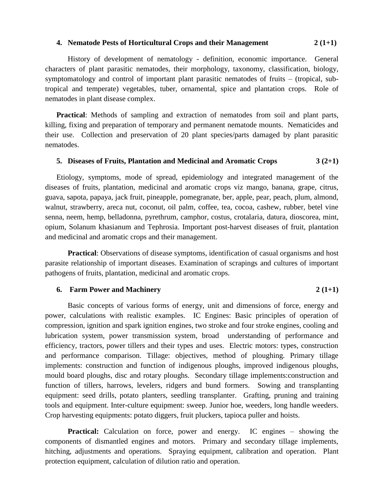### **4. Nematode Pests of Horticultural Crops and their Management 2 (1+1)**

History of development of nematology - definition, economic importance. General characters of plant parasitic nematodes, their morphology, taxonomy, classification, biology, symptomatology and control of important plant parasitic nematodes of fruits – (tropical, subtropical and temperate) vegetables, tuber, ornamental, spice and plantation crops. Role of nematodes in plant disease complex.

**Practical**: Methods of sampling and extraction of nematodes from soil and plant parts, killing, fixing and preparation of temporary and permanent nematode mounts. Nematicides and their use. Collection and preservation of 20 plant species/parts damaged by plant parasitic nematodes.

### **5. Diseases of Fruits, Plantation and Medicinal and Aromatic Crops 3 (2+1)**

Etiology, symptoms, mode of spread, epidemiology and integrated management of the diseases of fruits, plantation, medicinal and aromatic crops viz mango, banana, grape, citrus, guava, sapota, papaya, jack fruit, pineapple, pomegranate, ber, apple, pear, peach, plum, almond, walnut, strawberry, areca nut, coconut, oil palm, coffee, tea, cocoa, cashew, rubber, betel vine senna, neem, hemp, belladonna, pyrethrum, camphor, costus, crotalaria, datura, dioscorea, mint, opium, Solanum khasianum and Tephrosia. Important post-harvest diseases of fruit, plantation and medicinal and aromatic crops and their management.

**Practical**: Observations of disease symptoms, identification of casual organisms and host parasite relationship of important diseases. Examination of scrapings and cultures of important pathogens of fruits, plantation, medicinal and aromatic crops.

#### **6. Farm Power and Machinery**  $2(1+1)$

Basic concepts of various forms of energy, unit and dimensions of force, energy and power, calculations with realistic examples. IC Engines: Basic principles of operation of compression, ignition and spark ignition engines, two stroke and four stroke engines, cooling and lubrication system, power transmission system, broad understanding of performance and efficiency, tractors, power tillers and their types and uses. Electric motors: types, construction and performance comparison. Tillage: objectives, method of ploughing. Primary tillage implements: construction and function of indigenous ploughs, improved indigenous ploughs, mould board ploughs, disc and rotary ploughs. Secondary tillage implements:construction and function of tillers, harrows, levelers, ridgers and bund formers. Sowing and transplanting equipment: seed drills, potato planters, seedling transplanter. Grafting, pruning and training tools and equipment. Inter-culture equipment: sweep. Junior hoe, weeders, long handle weeders. Crop harvesting equipments: potato diggers, fruit pluckers, tapioca puller and hoists.

**Practical:** Calculation on force, power and energy. IC engines – showing the components of dismantled engines and motors. Primary and secondary tillage implements, hitching, adjustments and operations. Spraying equipment, calibration and operation. Plant protection equipment, calculation of dilution ratio and operation.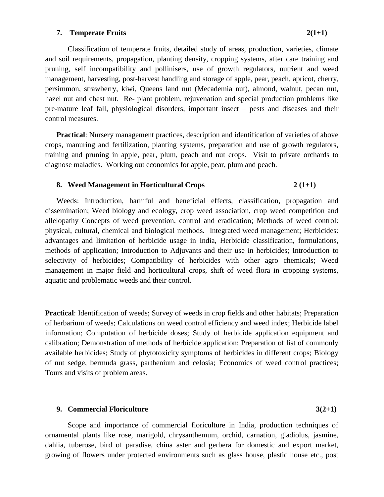### **7. Temperate Fruits 2(1+1)**

 Classification of temperate fruits, detailed study of areas, production, varieties, climate and soil requirements, propagation, planting density, cropping systems, after care training and

pruning, self incompatibility and pollinisers, use of growth regulators, nutrient and weed management, harvesting, post-harvest handling and storage of apple, pear, peach, apricot, cherry, persimmon, strawberry, kiwi, Queens land nut (Mecademia nut), almond, walnut, pecan nut, hazel nut and chest nut. Re- plant problem, rejuvenation and special production problems like pre-mature leaf fall, physiological disorders, important insect – pests and diseases and their control measures.

**Practical:** Nursery management practices, description and identification of varieties of above crops, manuring and fertilization, planting systems, preparation and use of growth regulators, training and pruning in apple, pear, plum, peach and nut crops. Visit to private orchards to diagnose maladies. Working out economics for apple, pear, plum and peach.

## **8.** Weed Management in Horticultural Crops 2 (1+1)

Weeds: Introduction, harmful and beneficial effects, classification, propagation and dissemination; Weed biology and ecology, crop weed association, crop weed competition and allelopathy Concepts of weed prevention, control and eradication; Methods of weed control: physical, cultural, chemical and biological methods. Integrated weed management; Herbicides: advantages and limitation of herbicide usage in India, Herbicide classification, formulations, methods of application; Introduction to Adjuvants and their use in herbicides; Introduction to selectivity of herbicides; Compatibility of herbicides with other agro chemicals; Weed management in major field and horticultural crops, shift of weed flora in cropping systems, aquatic and problematic weeds and their control.

**Practical:** Identification of weeds; Survey of weeds in crop fields and other habitats; Preparation of herbarium of weeds; Calculations on weed control efficiency and weed index; Herbicide label information; Computation of herbicide doses; Study of herbicide application equipment and calibration; Demonstration of methods of herbicide application; Preparation of list of commonly available herbicides; Study of phytotoxicity symptoms of herbicides in different crops; Biology of nut sedge, bermuda grass, parthenium and celosia; Economics of weed control practices; Tours and visits of problem areas.

## **9. Commercial Floriculture 3(2+1)**

Scope and importance of commercial floriculture in India, production techniques of ornamental plants like rose, marigold, chrysanthemum, orchid, carnation, gladiolus, jasmine, dahlia, tuberose, bird of paradise, china aster and gerbera for domestic and export market, growing of flowers under protected environments such as glass house, plastic house etc., post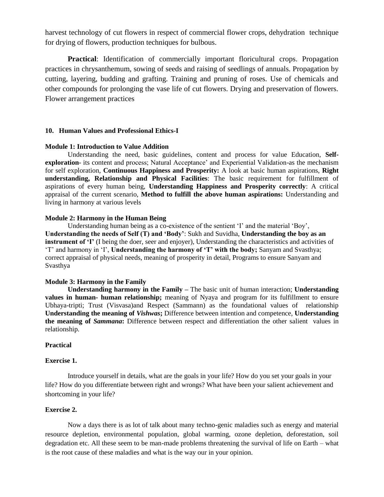harvest technology of cut flowers in respect of commercial flower crops, dehydration technique for drying of flowers, production techniques for bulbous.

**Practical**: Identification of commercially important floricultural crops. Propagation practices in chrysanthemum, sowing of seeds and raising of seedlings of annuals. Propagation by cutting, layering, budding and grafting. Training and pruning of roses. Use of chemicals and other compounds for prolonging the vase life of cut flowers. Drying and preservation of flowers. Flower arrangement practices

#### **10. Human Values and Professional Ethics-I**

#### **Module 1: Introduction to Value Addition**

Understanding the need, basic guidelines, content and process for value Education, **Selfexploration**- its content and process; Natural Acceptance' and Experiential Validation-as the mechanism for self exploration, **Continuous Happiness and Prosperity:** A look at basic human aspirations, **Right understanding, Relationship and Physical Facilities**: The basic requirement for fulfillment of aspirations of every human being, **Understanding Happiness and Prosperity correctly**: A critical appraisal of the current scenario, **Method to fulfill the above human aspirations:** Understanding and living in harmony at various levels

#### **Module 2: Harmony in the Human Being**

Understanding human being as a co-existence of the sentient 'I' and the material 'Boy', **Understanding the needs of Self (T) and 'Body'**: Sukh and Suvidha, **Understanding the boy as an instrument of 'I'** (I being the doer, seer and enjoyer), Understanding the characteristics and activities of 'T' and harmony in 'I', **Understanding the harmony of 'T' with the body;** Sanyam and Svasthya; correct appraisal of physical needs, meaning of prosperity in detail, Programs to ensure Sanyam and Svasthya

#### **Module 3: Harmony in the Family**

**Understanding harmony in the Family –** The basic unit of human interaction; **Understanding values in human- human relationship;** meaning of Nyaya and program for its fulfillment to ensure Ubhaya-tripti; Trust (Visvasa)and Respect (Sammann) as the foundational values of relationship **Understanding the meaning of** *Vishwas***;** Difference between intention and competence, **Understanding the meaning of** *Sammana***:** Difference between respect and differentiation the other salient values in relationship.

#### **Practical**

#### **Exercise 1.**

Introduce yourself in details, what are the goals in your life? How do you set your goals in your life? How do you differentiate between right and wrongs? What have been your salient achievement and shortcoming in your life?

#### **Exercise 2.**

Now a days there is as lot of talk about many techno-genic maladies such as energy and material resource depletion, environmental population, global warming, ozone depletion, deforestation, soil degradation etc. All these seem to be man-made problems threatening the survival of life on Earth – what is the root cause of these maladies and what is the way our in your opinion.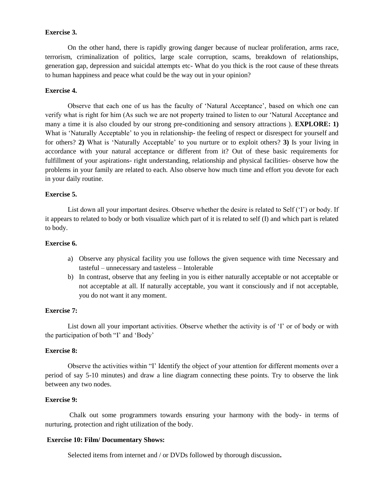### **Exercise 3.**

On the other hand, there is rapidly growing danger because of nuclear proliferation, arms race, terrorism, criminalization of politics, large scale corruption, scams, breakdown of relationships, generation gap, depression and suicidal attempts etc- What do you thick is the root cause of these threats to human happiness and peace what could be the way out in your opinion?

#### **Exercise 4.**

Observe that each one of us has the faculty of 'Natural Acceptance', based on which one can verify what is right for him (As such we are not property trained to listen to our 'Natural Acceptance and many a time it is also clouded by our strong pre-conditioning and sensory attractions ). **EXPLORE: 1)** What is 'Naturally Acceptable' to you in relationship- the feeling of respect or disrespect for yourself and for others? **2)** What is 'Naturally Acceptable' to you nurture or to exploit others? **3)** Is your living in accordance with your natural acceptance or different from it? Out of these basic requirements for fulfillment of your aspirations- right understanding, relationship and physical facilities- observe how the problems in your family are related to each. Also observe how much time and effort you devote for each in your daily routine.

### **Exercise 5.**

List down all your important desires. Observe whether the desire is related to Self ('I') or body. If it appears to related to body or both visualize which part of it is related to self (I) and which part is related to body.

### **Exercise 6.**

- a) Observe any physical facility you use follows the given sequence with time Necessary and tasteful – unnecessary and tasteless – Intolerable
- b) In contrast, observe that any feeling in you is either naturally acceptable or not acceptable or not acceptable at all. If naturally acceptable, you want it consciously and if not acceptable, you do not want it any moment.

#### **Exercise 7:**

List down all your important activities. Observe whether the activity is of 'I' or of body or with the participation of both "I' and 'Body'

#### **Exercise 8:**

Observe the activities within "I' Identify the object of your attention for different moments over a period of say 5-10 minutes) and draw a line diagram connecting these points. Try to observe the link between any two nodes.

#### **Exercise 9:**

Chalk out some programmers towards ensuring your harmony with the body- in terms of nurturing, protection and right utilization of the body.

### **Exercise 10: Film/ Documentary Shows:**

Selected items from internet and / or DVDs followed by thorough discussion**.**